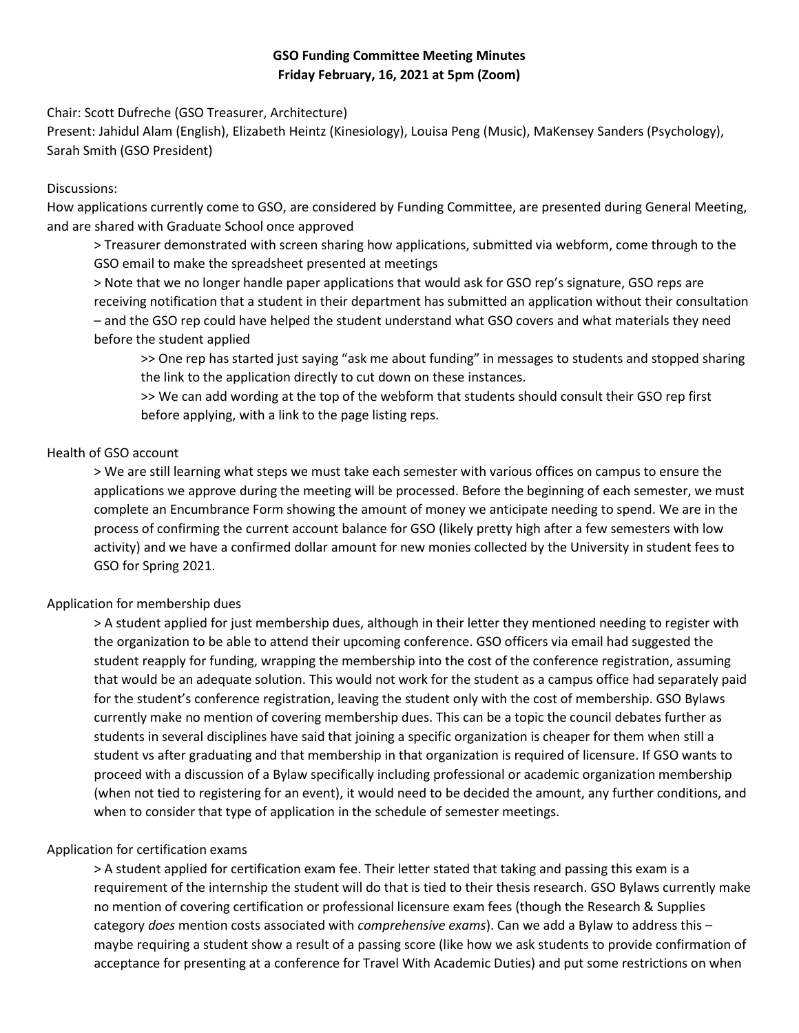# **GSO Funding Committee Meeting Minutes Friday February, 16, 2021 at 5pm (Zoom)**

Chair: Scott Dufreche (GSO Treasurer, Architecture)

Present: Jahidul Alam (English), Elizabeth Heintz (Kinesiology), Louisa Peng (Music), MaKensey Sanders (Psychology), Sarah Smith (GSO President)

#### Discussions:

How applications currently come to GSO, are considered by Funding Committee, are presented during General Meeting, and are shared with Graduate School once approved

> Treasurer demonstrated with screen sharing how applications, submitted via webform, come through to the GSO email to make the spreadsheet presented at meetings

> Note that we no longer handle paper applications that would ask for GSO rep's signature, GSO reps are receiving notification that a student in their department has submitted an application without their consultation – and the GSO rep could have helped the student understand what GSO covers and what materials they need before the student applied

>> One rep has started just saying "ask me about funding" in messages to students and stopped sharing the link to the application directly to cut down on these instances.

>> We can add wording at the top of the webform that students should consult their GSO rep first before applying, with a link to the page listing reps.

#### Health of GSO account

> We are still learning what steps we must take each semester with various offices on campus to ensure the applications we approve during the meeting will be processed. Before the beginning of each semester, we must complete an Encumbrance Form showing the amount of money we anticipate needing to spend. We are in the process of confirming the current account balance for GSO (likely pretty high after a few semesters with low activity) and we have a confirmed dollar amount for new monies collected by the University in student fees to GSO for Spring 2021.

### Application for membership dues

> A student applied for just membership dues, although in their letter they mentioned needing to register with the organization to be able to attend their upcoming conference. GSO officers via email had suggested the student reapply for funding, wrapping the membership into the cost of the conference registration, assuming that would be an adequate solution. This would not work for the student as a campus office had separately paid for the student's conference registration, leaving the student only with the cost of membership. GSO Bylaws currently make no mention of covering membership dues. This can be a topic the council debates further as students in several disciplines have said that joining a specific organization is cheaper for them when still a student vs after graduating and that membership in that organization is required of licensure. If GSO wants to proceed with a discussion of a Bylaw specifically including professional or academic organization membership (when not tied to registering for an event), it would need to be decided the amount, any further conditions, and when to consider that type of application in the schedule of semester meetings.

### Application for certification exams

> A student applied for certification exam fee. Their letter stated that taking and passing this exam is a requirement of the internship the student will do that is tied to their thesis research. GSO Bylaws currently make no mention of covering certification or professional licensure exam fees (though the Research & Supplies category *does* mention costs associated with *comprehensive exams*). Can we add a Bylaw to address this – maybe requiring a student show a result of a passing score (like how we ask students to provide confirmation of acceptance for presenting at a conference for Travel With Academic Duties) and put some restrictions on when